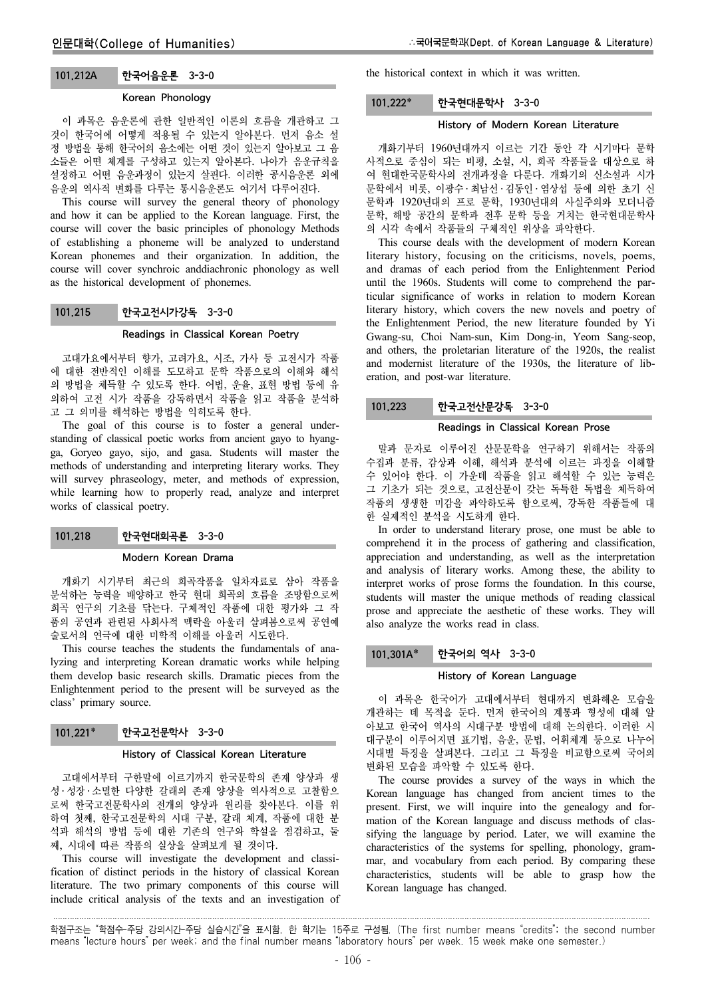## 101.212A 한국어음운론 3-3-0

#### Korean Phonology

이 과목은 음운론에 관한 일반적인 이론의 흐름을 개관하고 그 것이 한국어에 어떻게 적용될 수 있는지 알아본다. 먼저 음소 설 정 방법을 통해 한국어의 음소에는 어떤 것이 있는지 알아보고 그 음 소들은 어떤 체계를 구성하고 있는지 알아본다. 나아가 음운규칙을 설정하고 어떤 음운과정이 있는지 살핀다. 이러한 공시음운론 외에 음운의 역사적 변화를 다루는 통시음운론도 여기서 다루어진다.

This course will survey the general theory of phonology and how it can be applied to the Korean language. First, the course will cover the basic principles of phonology Methods of establishing a phoneme will be analyzed to understand Korean phonemes and their organization. In addition, the course will cover synchroic anddiachronic phonology as well as the historical development of phonemes.

## 101.215 한국고전시가강독 3-3-0

#### Readings in Classical Korean Poetry

고대가요에서부터 향가, 고려가요, 시조, 가사 등 고전시가 작품 에 대한 전반적인 이해를 도모하고 문학 작품으로의 이해와 해석 의 방법을 체득할 수 있도록 한다. 어법, 운율, 표현 방법 등에 유 의하여 고전 시가 작품을 강독하면서 작품을 읽고 작품을 분석하 고 그 의미를 해석하는 방법을 익히도록 한다.

The goal of this course is to foster a general understanding of classical poetic works from ancient gayo to hyangga, Goryeo gayo, sijo, and gasa. Students will master the methods of understanding and interpreting literary works. They will survey phraseology, meter, and methods of expression, while learning how to properly read, analyze and interpret works of classical poetry.

# 101.218 한국현대희곡론 3-3-0

#### Modern Korean Drama

개화기 시기부터 최근의 희곡작품을 일차자료로 삼아 작품을 분석하는 능력을 배양하고 한국 현대 희곡의 흐름을 조망함으로써 희곡 연구의 기초를 닦는다. 구체적인 작품에 대한 평가와 그 작 품의 공연과 관련된 사회사적 맥락을 아울러 살펴봄으로써 공연예 술로서의 연극에 대한 미학적 이해를 아울러 시도한다.

This course teaches the students the fundamentals of analyzing and interpreting Korean dramatic works while helping them develop basic research skills. Dramatic pieces from the Enlightenment period to the present will be surveyed as the class' primary source.

### 101.221\* 한국고전문학사 3-3-0

#### History of Classical Korean Literature

고대에서부터 구한말에 이르기까지 한국문학의 존재 양상과 생 성 ․ 성장 ․ 소멸한 다양한 갈래의 존재 양상을 역사적으로 고찰함으 로써 한국고전문학사의 전개의 양상과 원리를 찾아본다. 이를 위 하여 첫째, 한국고전문학의 시대 구분, 갈래 체계, 작품에 대한 분 석과 해석의 방법 등에 대한 기존의 연구와 학설을 점검하고, 둘 째, 시대에 따른 작품의 실상을 살펴보게 될 것이다.

This course will investigate the development and classification of distinct periods in the history of classical Korean literature. The two primary components of this course will include critical analysis of the texts and an investigation of the historical context in which it was written.

### 101.222 한국현대문학사 3-3-0

## History of Modern Korean Literature

개화기부터 1960년대까지 이르는 기간 동안 각 시기마다 문학 사적으로 중심이 되는 비평, 소설, 시, 희곡 작품들을 대상으로 하 여 현대한국문학사의 전개과정을 다룬다. 개화기의 신소설과 시가 문학에서 비롯, 이광수 ․ 최남선 ․ 김동인 ․ 염상섭 등에 의한 초기 신 문학과 1920년대의 프로 문학, 1930년대의 사실주의와 모더니즘 문학, 해방 공간의 문학과 전후 문학 등을 거치는 한국현대문학사 의 시각 속에서 작품들의 구체적인 위상을 파악한다.

This course deals with the development of modern Korean literary history, focusing on the criticisms, novels, poems, and dramas of each period from the Enlightenment Period until the 1960s. Students will come to comprehend the particular significance of works in relation to modern Korean literary history, which covers the new novels and poetry of the Enlightenment Period, the new literature founded by Yi Gwang-su, Choi Nam-sun, Kim Dong-in, Yeom Sang-seop, and others, the proletarian literature of the 1920s, the realist and modernist literature of the 1930s, the literature of liberation, and post-war literature.

# 101.223 한국고전산문강독 3-3-0

## Readings in Classical Korean Prose

말과 문자로 이루어진 산문문학을 연구하기 위해서는 작품의 수집과 분류, 감상과 이해, 해석과 분석에 이르는 과정을 이해할 수 있어야 한다. 이 가운데 작품을 읽고 해석할 수 있는 능력은 그 기초가 되는 것으로, 고전산문이 갖는 독특한 독법을 체득하여 작품의 생생한 미감을 파악하도록 함으로써, 강독한 작품들에 대 한 실제적인 분석을 시도하게 한다.

In order to understand literary prose, one must be able to comprehend it in the process of gathering and classification, appreciation and understanding, as well as the interpretation and analysis of literary works. Among these, the ability to interpret works of prose forms the foundation. In this course, students will master the unique methods of reading classical prose and appreciate the aesthetic of these works. They will also analyze the works read in class.

## 101.301A\* 한국어의 역사 3-3-0

#### History of Korean Language

이 과목은 한국어가 고대에서부터 현대까지 변화해온 모습을 개관하는 데 목적을 둔다. 먼저 한국어의 계통과 형성에 대해 알 아보고 한국어 역사의 시대구분 방법에 대해 논의한다. 이러한 시 대구분이 이루어지면 표기법, 음운, 문법, 어휘체계 등으로 나누어 시대별 특징을 살펴본다. 그리고 그 특징을 비교함으로써 국어의 변화된 모습을 파악할 수 있도록 한다.

The course provides a survey of the ways in which the Korean language has changed from ancient times to the present. First, we will inquire into the genealogy and formation of the Korean language and discuss methods of classifying the language by period. Later, we will examine the characteristics of the systems for spelling, phonology, grammar, and vocabulary from each period. By comparing these characteristics, students will be able to grasp how the Korean language has changed.

학점구조는 "학점수-주당 강의시간-주당 실습시간"을 표시함. 한 학기는 15주로 구성됨. (The first number means "credits"; the second number means "lecture hours" per week; and the final number means "laboratory hours" per week. 15 week make one semester.)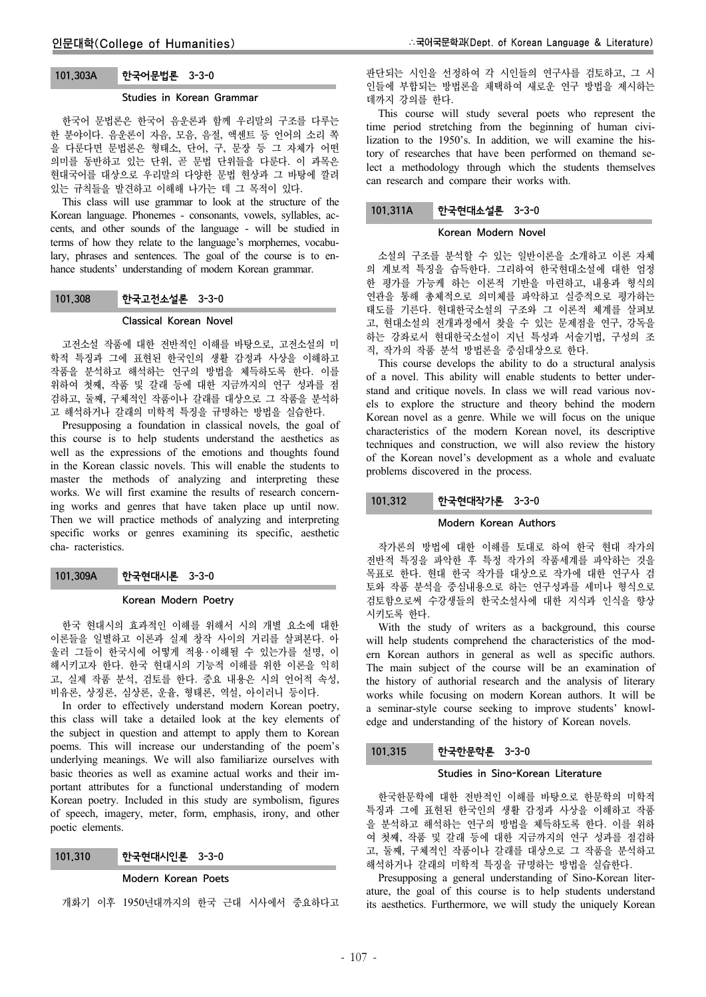#### Studies in Korean Grammar

한국어 문법론은 한국어 음운론과 함께 우리말의 구조를 다루는 한 분야이다. 음운론이 자음, 모음, 음절, 액센트 등 언어의 소리 쪽 을 다룬다면 문법론은 형태소, 단어, 구, 문장 등 그 자체가 어떤 의미를 동반하고 있는 단위, 곧 문법 단위들을 다룬다. 이 과목은 현대국어를 대상으로 우리말의 다양한 문법 현상과 그 바탕에 깔려 있는 규칙들을 발견하고 이해해 나가는 데 그 목적이 있다.

This class will use grammar to look at the structure of the Korean language. Phonemes - consonants, vowels, syllables, accents, and other sounds of the language - will be studied in terms of how they relate to the language's morphemes, vocabulary, phrases and sentences. The goal of the course is to enhance students' understanding of modern Korean grammar.

## 101.308 한국고전소설론 3-3-0

### Classical Korean Novel

고전소설 작품에 대한 전반적인 이해를 바탕으로, 고전소설의 미 학적 특징과 그에 표현된 한국인의 생활 감정과 사상을 이해하고 작품을 분석하고 해석하는 연구의 방법을 체득하도록 한다. 이를 위하여 첫째, 작품 및 갈래 등에 대한 지금까지의 연구 성과를 점 검하고, 둘째, 구체적인 작품이나 갈래를 대상으로 그 작품을 분석하 고 해석하거나 갈래의 미학적 특징을 규명하는 방법을 실습한다.

Presupposing a foundation in classical novels, the goal of this course is to help students understand the aesthetics as well as the expressions of the emotions and thoughts found in the Korean classic novels. This will enable the students to master the methods of analyzing and interpreting these works. We will first examine the results of research concerning works and genres that have taken place up until now. Then we will practice methods of analyzing and interpreting specific works or genres examining its specific, aesthetic cha- racteristics.

101.309A 한국현대시론 3-3-0

### Korean Modern Poetry

한국 현대시의 효과적인 이해를 위해서 시의 개별 요소에 대한 이론들을 일별하고 이론과 실제 창작 사이의 거리를 살펴본다. 아 울러 그들이 한국시에 어떻게 적용 ․ 이해될 수 있는가를 설명, 이 해시키고자 한다. 한국 현대시의 기능적 이해를 위한 이론을 익히 고, 실제 작품 분석, 검토를 한다. 중요 내용은 시의 언어적 속성, 비유론, 상징론, 심상론, 운율, 형태론, 역설, 아이러니 등이다.

In order to effectively understand modern Korean poetry, this class will take a detailed look at the key elements of the subject in question and attempt to apply them to Korean poems. This will increase our understanding of the poem's underlying meanings. We will also familiarize ourselves with basic theories as well as examine actual works and their important attributes for a functional understanding of modern Korean poetry. Included in this study are symbolism, figures of speech, imagery, meter, form, emphasis, irony, and other poetic elements.

## 101.310 한국현대시인론 3-3-0

### Modern Korean Poets

개화기 이후 1950년대까지의 한국 근대 시사에서 중요하다고

판단되는 시인을 선정하여 각 시인들의 연구사를 검토하고, 그 시 인들에 부합되는 방법론을 채택하여 새로운 연구 방법을 제시하는 데까지 강의를 한다.

This course will study several poets who represent the time period stretching from the beginning of human civilization to the 1950's. In addition, we will examine the history of researches that have been performed on themand select a methodology through which the students themselves can research and compare their works with.

## 101.311A 한국현대소설론 3-3-0

## Korean Modern Novel

소설의 구조를 분석할 수 있는 일반이론을 소개하고 이론 자체 의 계보적 특징을 습득한다. 그리하여 한국현대소설에 대한 엄정 한 평가를 가능케 하는 이론적 기반을 마련하고, 내용과 형식의 연관을 통해 총체적으로 의미체를 파악하고 실증적으로 평가하는 태도를 기른다. 현대한국소설의 구조와 그 이론적 체계를 살펴보 고, 현대소설의 전개과정에서 찾을 수 있는 문제점을 연구, 강독을 하는 강좌로서 현대한국소설이 지닌 특성과 서술기법, 구성의 조 직, 작가의 작품 분석 방법론을 중심대상으로 한다.

This course develops the ability to do a structural analysis of a novel. This ability will enable students to better understand and critique novels. In class we will read various novels to explore the structure and theory behind the modern Korean novel as a genre. While we will focus on the unique characteristics of the modern Korean novel, its descriptive techniques and construction, we will also review the history of the Korean novel's development as a whole and evaluate problems discovered in the process.

# 101.312 한국현대작가론 3-3-0

## Modern Korean Authors

작가론의 방법에 대한 이해를 토대로 하여 한국 현대 작가의 전반적 특징을 파악한 후 특정 작가의 작품세계를 파악하는 것을 목표로 한다. 현대 한국 작가를 대상으로 작가에 대한 연구사 검 토와 작품 분석을 중심내용으로 하는 연구성과를 세미나 형식으로 검토함으로써 수강생들의 한국소설사에 대한 지식과 인식을 향상 시키도록 한다.

With the study of writers as a background, this course will help students comprehend the characteristics of the modern Korean authors in general as well as specific authors. The main subject of the course will be an examination of the history of authorial research and the analysis of literary works while focusing on modern Korean authors. It will be a seminar-style course seeking to improve students' knowledge and understanding of the history of Korean novels.

# 101.315 한국한문학론 3-3-0

### Studies in Sino-Korean Literature

한국한문학에 대한 전반적인 이해를 바탕으로 한문학의 미학적 특징과 그에 표현된 한국인의 생활 감정과 사상을 이해하고 작품 을 분석하고 해석하는 연구의 방법을 체득하도록 한다. 이를 위하 여 첫째, 작품 및 갈래 등에 대한 지금까지의 연구 성과를 점검하 고, 둘째, 구체적인 작품이나 갈래를 대상으로 그 작품을 분석하고 해석하거나 갈래의 미학적 특징을 규명하는 방법을 실습한다.

Presupposing a general understanding of Sino-Korean literature, the goal of this course is to help students understand its aesthetics. Furthermore, we will study the uniquely Korean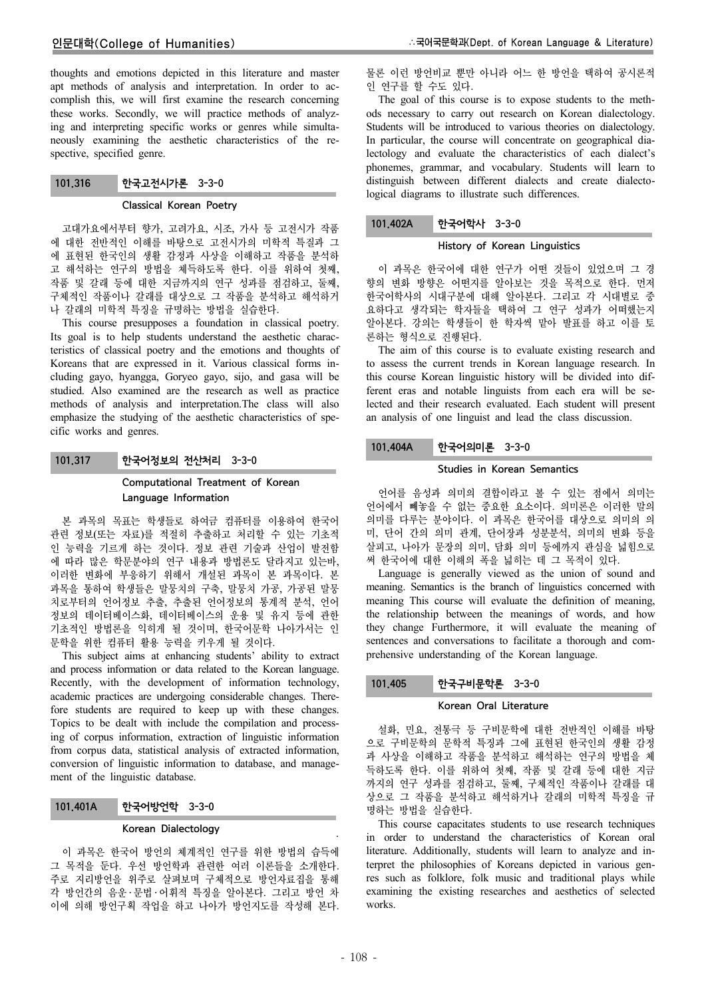# 인문대학(College of Humanities)

thoughts and emotions depicted in this literature and master apt methods of analysis and interpretation. In order to accomplish this, we will first examine the research concerning these works. Secondly, we will practice methods of analyzing and interpreting specific works or genres while simultaneously examining the aesthetic characteristics of the respective, specified genre.

# 101.316 한국고전시가론 3-3-0

## Classical Korean Poetry

고대가요에서부터 향가, 고려가요, 시조, 가사 등 고전시가 작품 에 대한 전반적인 이해를 바탕으로 고전시가의 미학적 특질과 그 에 표현된 한국인의 생활 감정과 사상을 이해하고 작품을 분석하 고 해석하는 연구의 방법을 체득하도록 한다. 이를 위하여 첫째, 작품 및 갈래 등에 대한 지금까지의 연구 성과를 점검하고, 둘째, 구체적인 작품이나 갈래를 대상으로 그 작품을 분석하고 해석하거 나 갈래의 미학적 특징을 규명하는 방법을 실습한다.

This course presupposes a foundation in classical poetry. Its goal is to help students understand the aesthetic characteristics of classical poetry and the emotions and thoughts of Koreans that are expressed in it. Various classical forms including gayo, hyangga, Goryeo gayo, sijo, and gasa will be studied. Also examined are the research as well as practice methods of analysis and interpretation.The class will also emphasize the studying of the aesthetic characteristics of specific works and genres.

## 101.317 한국어정보의 전산처리 3-3-0

# Computational Treatment of Korean Language Information

본 과목의 목표는 학생들로 하여금 컴퓨터를 이용하여 한국어 관련 정보(또는 자료)를 적절히 추출하고 처리할 수 있는 기초적 인 능력을 기르게 하는 것이다. 정보 관련 기술과 산업이 발전함 에 따라 많은 학문분야의 연구 내용과 방법론도 달라지고 있는바, 이러한 변화에 부응하기 위해서 개설된 과목이 본 과목이다. 본 과목을 통하여 학생들은 말뭉치의 구축, 말뭉치 가공, 가공된 말뭉 치로부터의 언어정보 추출, 추출된 언어정보의 통계적 분석, 언어 정보의 데이터베이스화, 데이터베이스의 운용 및 유지 등에 관한 기초적인 방법론을 익히게 될 것이며, 한국어문학 나아가서는 인 문학을 위한 컴퓨터 활용 능력을 키우게 될 것이다.

This subject aims at enhancing students' ability to extract and process information or data related to the Korean language. Recently, with the development of information technology, academic practices are undergoing considerable changes. Therefore students are required to keep up with these changes. Topics to be dealt with include the compilation and processing of corpus information, extraction of linguistic information from corpus data, statistical analysis of extracted information, conversion of linguistic information to database, and management of the linguistic database.

## 101.401A 한국어방언학 3-3-0

#### Korean Dialectology

이 과목은 한국어 방언의 체계적인 연구를 위한 방법의 습득에 그 목적을 둔다. 우선 방언학과 관련한 여러 이론들을 소개한다. 주로 지리방언을 위주로 살펴보며 구체적으로 방언자료집을 통해 각 방언간의 음운 ․ 문법 ․ 어휘적 특징을 알아본다. 그리고 방언 차 이에 의해 방언구획 작업을 하고 나아가 방언지도를 작성해 본다.

물론 이런 방언비교 뿐만 아니라 어느 한 방언을 택하여 공시론적 인 연구를 할 수도 있다.

The goal of this course is to expose students to the methods necessary to carry out research on Korean dialectology. Students will be introduced to various theories on dialectology. In particular, the course will concentrate on geographical dialectology and evaluate the characteristics of each dialect's phonemes, grammar, and vocabulary. Students will learn to distinguish between different dialects and create dialectological diagrams to illustrate such differences.

## 101.402A 한국어학사 3-3-0

## History of Korean Linguistics

이 과목은 한국어에 대한 연구가 어떤 것들이 있었으며 그 경 향의 변화 방향은 어떤지를 알아보는 것을 목적으로 한다. 먼저 한국어학사의 시대구분에 대해 알아본다. 그리고 각 시대별로 중 요하다고 생각되는 학자들을 택하여 그 연구 성과가 어떠했는지 알아본다. 강의는 학생들이 한 학자씩 맡아 발표를 하고 이를 토 론하는 형식으로 진행된다.

The aim of this course is to evaluate existing research and to assess the current trends in Korean language research. In this course Korean linguistic history will be divided into different eras and notable linguists from each era will be selected and their research evaluated. Each student will present an analysis of one linguist and lead the class discussion.

# 101.404A 한국어의미론 3-3-0

# Studies in Korean Semantics

언어를 음성과 의미의 결합이라고 볼 수 있는 점에서 의미는 언어에서 빼놓을 수 없는 중요한 요소이다. 의미론은 이러한 말의 의미를 다루는 분야이다. 이 과목은 한국어를 대상으로 의미의 의 미, 단어 간의 의미 관계, 단어장과 성분분석, 의미의 변화 등을 살피고, 나아가 문장의 의미, 담화 의미 등에까지 관심을 넓힘으로 써 한국어에 대한 이해의 폭을 넓히는 데 그 목적이 있다.

Language is generally viewed as the union of sound and meaning. Semantics is the branch of linguistics concerned with meaning This course will evaluate the definition of meaning, the relationship between the meanings of words, and how they change Furthermore, it will evaluate the meaning of sentences and conversations to facilitate a thorough and comprehensive understanding of the Korean language.

# 101.405 한국구비문학론 3-3-0

### Korean Oral Literature

설화, 민요, 전통극 등 구비문학에 대한 전반적인 이해를 바탕 으로 구비문학의 문학적 특징과 그에 표현된 한국인의 생활 감정 과 사상을 이해하고 작품을 분석하고 해석하는 연구의 방법을 체 득하도록 한다. 이를 위하여 첫째, 작품 및 갈래 등에 대한 지금 까지의 연구 성과를 점검하고, 둘째, 구체적인 작품이나 갈래를 대 상으로 그 작품을 분석하고 해석하거나 갈래의 미학적 특징을 규 명하는 방법을 실습한다.

This course capacitates students to use research techniques in order to understand the characteristics of Korean oral literature. Additionally, students will learn to analyze and interpret the philosophies of Koreans depicted in various genres such as folklore, folk music and traditional plays while examining the existing researches and aesthetics of selected works.

.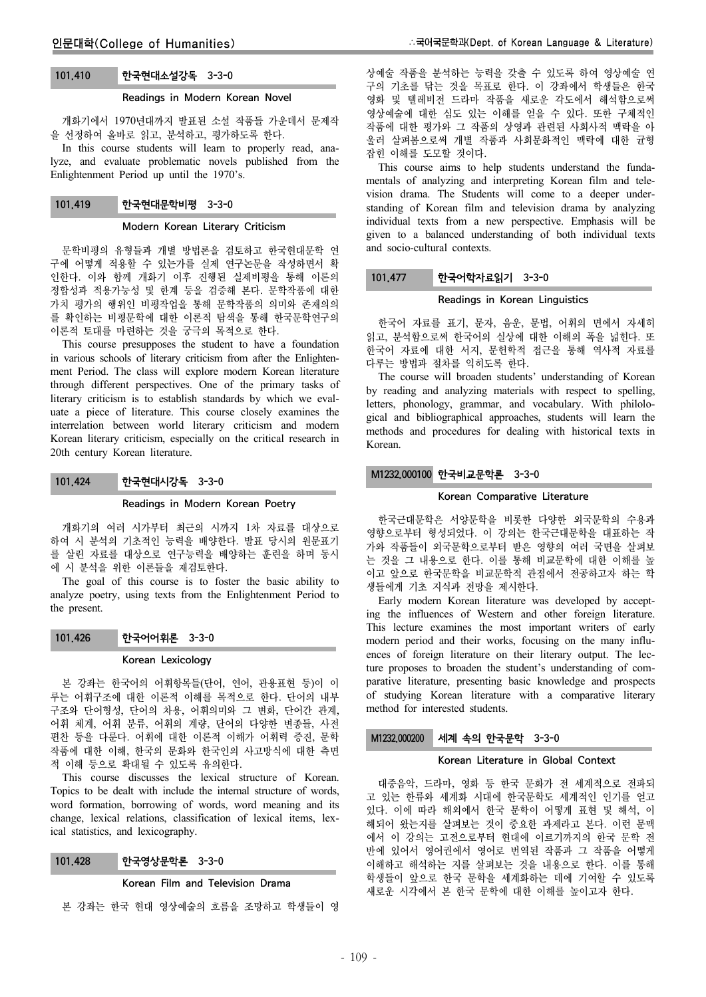# 101.410 한국현대소설강독 3-3-0

## Readings in Modern Korean Novel

개화기에서 1970년대까지 발표된 소설 작품들 가운데서 문제작 을 선정하여 올바로 읽고, 분석하고, 평가하도록 한다.

In this course students will learn to properly read, analyze, and evaluate problematic novels published from the Enlightenment Period up until the 1970's.

# 101.419 한국현대문학비평 3-3-0

## Modern Korean Literary Criticism

문학비평의 유형들과 개별 방법론을 검토하고 한국현대문학 연 구에 어떻게 적용할 수 있는가를 실제 연구논문을 작성하면서 확 인한다. 이와 함께 개화기 이후 진행된 실제비평을 통해 이론의 정합성과 적용가능성 및 한계 등을 검증해 본다. 문학작품에 대한 가치 평가의 행위인 비평작업을 통해 문학작품의 의미와 존재의의 를 확인하는 비평문학에 대한 이론적 탐색을 통해 한국문학연구의 이론적 토대를 마련하는 것을 궁극의 목적으로 한다.

This course presupposes the student to have a foundation in various schools of literary criticism from after the Enlightenment Period. The class will explore modern Korean literature through different perspectives. One of the primary tasks of literary criticism is to establish standards by which we evaluate a piece of literature. This course closely examines the interrelation between world literary criticism and modern Korean literary criticism, especially on the critical research in 20th century Korean literature.

## 101.424 한국현대시강독 3-3-0

#### Readings in Modern Korean Poetry

개화기의 여러 시가부터 최근의 시까지 1차 자료를 대상으로 하여 시 분석의 기초적인 능력을 배양한다. 발표 당시의 원문표기 를 살린 자료를 대상으로 연구능력을 배양하는 훈련을 하며 동시 에 시 분석을 위한 이론들을 재검토한다.

The goal of this course is to foster the basic ability to analyze poetry, using texts from the Enlightenment Period to the present.

### 101.426 한국어어휘론 3-3-0

#### Korean Lexicology

본 강좌는 한국어의 어휘항목들(단어, 연어, 관용표현 등)이 이 루는 어휘구조에 대한 이론적 이해를 목적으로 한다. 단어의 내부 구조와 단어형성, 단어의 차용, 어휘의미와 그 변화, 단어간 관계, 어휘 체계, 어휘 분류, 어휘의 계량, 단어의 다양한 변종들, 사전 편찬 등을 다룬다. 어휘에 대한 이론적 이해가 어휘력 증진, 문학 작품에 대한 이해, 한국의 문화와 한국인의 사고방식에 대한 측면 적 이해 등으로 확대될 수 있도록 유의한다.

This course discusses the lexical structure of Korean. Topics to be dealt with include the internal structure of words, word formation, borrowing of words, word meaning and its change, lexical relations, classification of lexical items, lexical statistics, and lexicography.

# 101.428 한국영상문학론 3-3-0

#### Korean Film and Television Drama

본 강좌는 한국 현대 영상예술의 흐름을 조망하고 학생들이 영

상예술 작품을 분석하는 능력을 갖출 수 있도록 하여 영상예술 연 구의 기초를 닦는 것을 목표로 한다. 이 강좌에서 학생들은 한국 영화 및 텔레비전 드라마 작품을 새로운 각도에서 해석함으로써 영상예술에 대한 심도 있는 이해를 얻을 수 있다. 또한 구체적인 작품에 대한 평가와 그 작품의 상영과 관련된 사회사적 맥락을 아 울러 살펴봄으로써 개별 작품과 사회문화적인 맥락에 대한 균형 잡힌 이해를 도모할 것이다.

This course aims to help students understand the fundamentals of analyzing and interpreting Korean film and television drama. The Students will come to a deeper understanding of Korean film and television drama by analyzing individual texts from a new perspective. Emphasis will be given to a balanced understanding of both individual texts and socio-cultural contexts.

# 101.477 한국어학자료읽기 3-3-0

## Readings in Korean Linguistics

한국어 자료를 표기, 문자, 음운, 문법, 어휘의 면에서 자세히 읽고, 분석함으로써 한국어의 실상에 대한 이해의 폭을 넓힌다. 또 한국어 자료에 대한 서지, 문헌학적 접근을 통해 역사적 자료를 다루는 방법과 절차를 익히도록 한다.

The course will broaden students' understanding of Korean by reading and analyzing materials with respect to spelling, letters, phonology, grammar, and vocabulary. With philological and bibliographical approaches, students will learn the methods and procedures for dealing with historical texts in Korean.

# M1232.000100 한국비교문학론 3-3-0

#### Korean Comparative Literature

한국근대문학은 서양문학을 비롯한 다양한 외국문학의 수용과 영향으로부터 형성되었다. 이 강의는 한국근대문학을 대표하는 작 가와 작품들이 외국문학으로부터 받은 영향의 여러 국면을 살펴보 는 것을 그 내용으로 한다. 이를 통해 비교문학에 대한 이해를 높 이고 앞으로 한국문학을 비교문학적 관점에서 전공하고자 하는 학 생들에게 기초 지식과 전망을 제시한다.

Early modern Korean literature was developed by accepting the influences of Western and other foreign literature. This lecture examines the most important writers of early modern period and their works, focusing on the many influences of foreign literature on their literary output. The lecture proposes to broaden the student's understanding of comparative literature, presenting basic knowledge and prospects of studying Korean literature with a comparative literary method for interested students.

# M1232.000200 세계 속의 한국문학 3-3-0

#### Korean Literature in Global Context

대중음악, 드라마, 영화 등 한국 문화가 전 세계적으로 전파되 고 있는 한류와 세계화 시대에 한국문학도 세계적인 인기를 얻고 있다. 이에 따라 해외에서 한국 문학이 어떻게 표현 및 해석, 이 해되어 왔는지를 살펴보는 것이 중요한 과제라고 본다. 이런 문맥 에서 이 강의는 고전으로부터 현대에 이르기까지의 한국 문학 전 반에 있어서 영어권에서 영어로 번역된 작품과 그 작품을 어떻게 이해하고 해석하는 지를 살펴보는 것을 내용으로 한다. 이를 통해 학생들이 앞으로 한국 문학을 세계화하는 데에 기여할 수 있도록 새로운 시각에서 본 한국 문학에 대한 이해를 높이고자 한다.